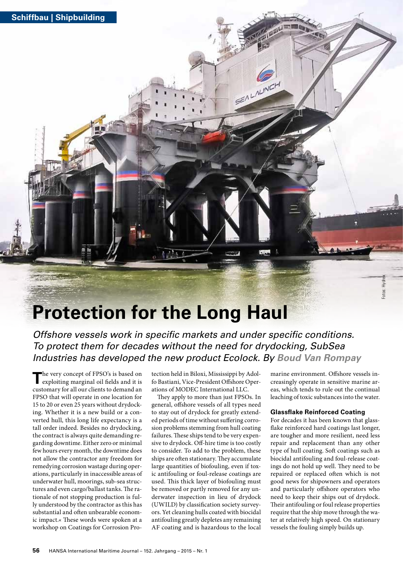

## **Protection for the Long Haul**

*Offshore vessels work in specific markets and under specific conditions. To protect them for decades without the need for drydocking, SubSea Industries has developed the new product Ecolock. By Boud Van Rompay*

The very concept of FPSO's is based on exploiting marginal oil fields and it is customary for all our clients to demand an FPSO that will operate in one location for 15 to 20 or even 25 years without drydocking. Whether it is a new build or a converted hull, this long life expectancy is a tall order indeed. Besides no drydocking, the contract is always quite demanding regarding downtime. Either zero or minimal few hours every month, the downtime does not allow the contractor any freedom for remedying corrosion wastage during operations, particularly in inaccessible areas of underwater hull, moorings, sub-sea structures and even cargo/ballast tanks. The rationale of not stopping production is fully understood by the contractor as this has substantial and often unbearable economic impact.« These words were spoken at a workshop on Coatings for Corrosion Pro-

tection held in Biloxi, Mississippi by Adolfo Bastiani, Vice-President Offshore Operations of MODEC International LLC.

SEALAUNCH

They apply to more than just FPSOs. In general, offshore vessels of all types need to stay out of drydock for greatly extended periods of time without suffering corrosion problems stemming from hull coating failures. These ships tend to be very expensive to drydock. Off-hire time is too costly to consider. To add to the problem, these ships are often stationary. They accumulate large quantities of biofouling, even if toxic antifouling or foul-release coatings are used. This thick layer of biofouling must be removed or partly removed for any underwater inspection in lieu of drydock (UWILD) by classification society surveyors. Yet cleaning hulls coated with biocidal antifouling greatly depletes any remaining AF coating and is hazardous to the local marine environment. Offshore vessels increasingly operate in sensitive marine areas, which tends to rule out the continual leaching of toxic substances into the water.

Fotos: Hydrex

## **Glassflake Reinforced Coating**

For decades it has been known that glassflake reinforced hard coatings last longer, are tougher and more resilient, need less repair and replacement than any other type of hull coating. Soft coatings such as biocidal antifouling and foul-release coatings do not hold up well. They need to be repaired or replaced often which is not good news for shipowners and operators and particularly offshore operators who need to keep their ships out of drydock. Their antifouling or foul release properties require that the ship move through the water at relatively high speed. On stationary vessels the fouling simply builds up.